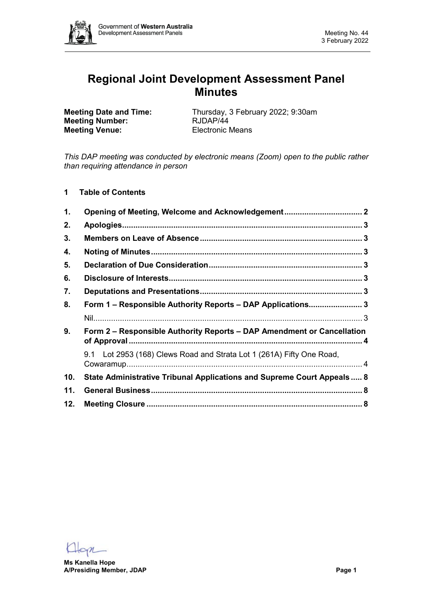

# **Regional Joint Development Assessment Panel Minutes**

**Meeting Number: Meeting Venue:** Electronic Means

**Meeting Date and Time:** Thursday, 3 February 2022; 9:30am<br> **Meeting Number:** RJDAP/44

*This DAP meeting was conducted by electronic means (Zoom) open to the public rather than requiring attendance in person*

**1 Table of Contents**

| 1.  |                                                                         |  |  |  |  |
|-----|-------------------------------------------------------------------------|--|--|--|--|
| 2.  |                                                                         |  |  |  |  |
| 3.  |                                                                         |  |  |  |  |
| 4.  |                                                                         |  |  |  |  |
| 5.  |                                                                         |  |  |  |  |
| 6.  |                                                                         |  |  |  |  |
| 7.  |                                                                         |  |  |  |  |
| 8.  | Form 1 - Responsible Authority Reports - DAP Applications 3             |  |  |  |  |
|     |                                                                         |  |  |  |  |
| 9.  | Form 2 - Responsible Authority Reports - DAP Amendment or Cancellation  |  |  |  |  |
|     | 9.1 Lot 2953 (168) Clews Road and Strata Lot 1 (261A) Fifty One Road,   |  |  |  |  |
| 10. | State Administrative Tribunal Applications and Supreme Court Appeals  8 |  |  |  |  |
| 11. |                                                                         |  |  |  |  |
| 12. |                                                                         |  |  |  |  |

 $en$ 

**Ms Kanella Hope A/Presiding Member, JDAP Page 1**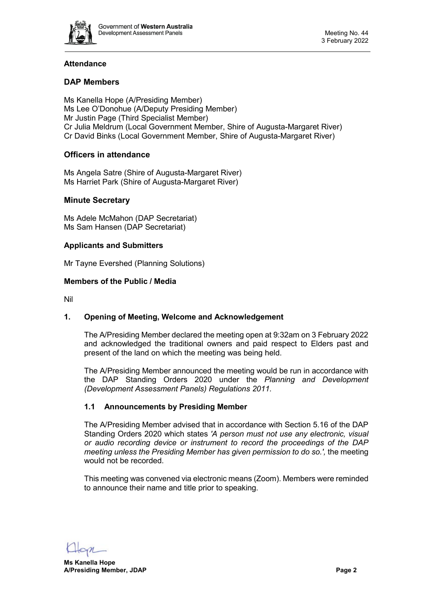

# **Attendance**

# **DAP Members**

Ms Kanella Hope (A/Presiding Member) Ms Lee O'Donohue (A/Deputy Presiding Member) Mr Justin Page (Third Specialist Member) Cr Julia Meldrum (Local Government Member, Shire of Augusta-Margaret River) Cr David Binks (Local Government Member, Shire of Augusta-Margaret River)

# **Officers in attendance**

Ms Angela Satre (Shire of Augusta-Margaret River) Ms Harriet Park (Shire of Augusta-Margaret River)

### **Minute Secretary**

Ms Adele McMahon (DAP Secretariat) Ms Sam Hansen (DAP Secretariat)

### **Applicants and Submitters**

Mr Tayne Evershed (Planning Solutions)

### **Members of the Public / Media**

Nil

# <span id="page-1-0"></span>**1. Opening of Meeting, Welcome and Acknowledgement**

The A/Presiding Member declared the meeting open at 9:32am on 3 February 2022 and acknowledged the traditional owners and paid respect to Elders past and present of the land on which the meeting was being held.

The A/Presiding Member announced the meeting would be run in accordance with the DAP Standing Orders 2020 under the *Planning and Development (Development Assessment Panels) Regulations 2011.*

# **1.1 Announcements by Presiding Member**

The A/Presiding Member advised that in accordance with Section 5.16 of the DAP Standing Orders 2020 which states *'A person must not use any electronic, visual or audio recording device or instrument to record the proceedings of the DAP meeting unless the Presiding Member has given permission to do so.',* the meeting would not be recorded.

This meeting was convened via electronic means (Zoom). Members were reminded to announce their name and title prior to speaking.

**Ms Kanella Hope A/Presiding Member, JDAP Page 2**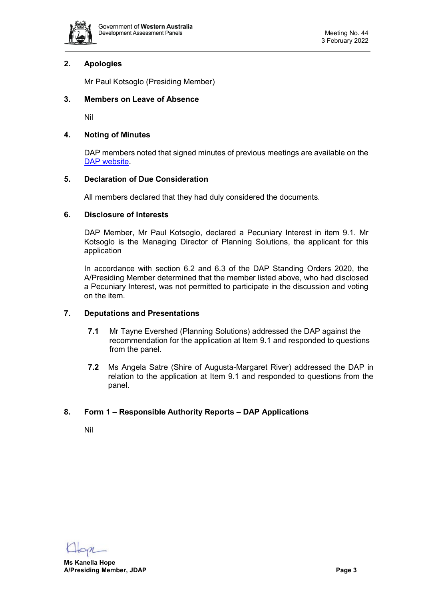

# <span id="page-2-0"></span>**2. Apologies**

Mr Paul Kotsoglo (Presiding Member)

# <span id="page-2-1"></span>**3. Members on Leave of Absence**

Nil

### <span id="page-2-2"></span>**4. Noting of Minutes**

DAP members noted that signed minutes of previous meetings are available on the [DAP website.](https://www.dplh.wa.gov.au/about/development-assessment-panels/daps-agendas-and-minutes)

### <span id="page-2-3"></span>**5. Declaration of Due Consideration**

All members declared that they had duly considered the documents.

# <span id="page-2-4"></span>**6. Disclosure of Interests**

DAP Member, Mr Paul Kotsoglo, declared a Pecuniary Interest in item 9.1. Mr Kotsoglo is the Managing Director of Planning Solutions, the applicant for this application

In accordance with section 6.2 and 6.3 of the DAP Standing Orders 2020, the A/Presiding Member determined that the member listed above, who had disclosed a Pecuniary Interest, was not permitted to participate in the discussion and voting on the item.

# <span id="page-2-5"></span>**7. Deputations and Presentations**

- **7.1** Mr Tayne Evershed (Planning Solutions) addressed the DAP against the recommendation for the application at Item 9.1 and responded to questions from the panel.
- **7.2** Ms Angela Satre (Shire of Augusta-Margaret River) addressed the DAP in relation to the application at Item 9.1 and responded to questions from the panel.

# <span id="page-2-7"></span><span id="page-2-6"></span>**8. Form 1 – Responsible Authority Reports – DAP Applications**

Nil

**Ms Kanella Hope A/Presiding Member, JDAP Page 3**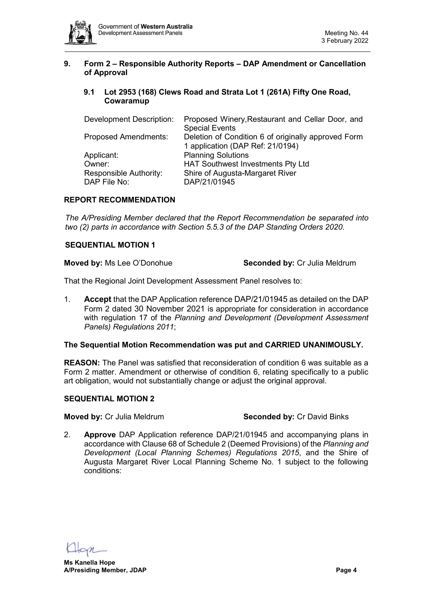

# <span id="page-3-0"></span>**9. Form 2 – Responsible Authority Reports – DAP Amendment or Cancellation of Approval**

# <span id="page-3-1"></span>**9.1 Lot 2953 (168) Clews Road and Strata Lot 1 (261A) Fifty One Road, Cowaramup**

| Development Description:    | Proposed Winery, Restaurant and Cellar Door, and    |  |  |
|-----------------------------|-----------------------------------------------------|--|--|
|                             | <b>Special Events</b>                               |  |  |
| <b>Proposed Amendments:</b> | Deletion of Condition 6 of originally approved Form |  |  |
|                             | 1 application (DAP Ref: 21/0194)                    |  |  |
| Applicant:                  | <b>Planning Solutions</b>                           |  |  |
| Owner:                      | <b>HAT Southwest Investments Pty Ltd</b>            |  |  |
| Responsible Authority:      | Shire of Augusta-Margaret River                     |  |  |
| DAP File No:                | DAP/21/01945                                        |  |  |

# **REPORT RECOMMENDATION**

*The A/Presiding Member declared that the Report Recommendation be separated into two (2) parts in accordance with Section 5.5.3 of the DAP Standing Orders 2020.*

### **SEQUENTIAL MOTION 1**

**Moved by:** Ms Lee O'Donohue **Seconded by:** Cr Julia Meldrum

That the Regional Joint Development Assessment Panel resolves to:

1. **Accept** that the DAP Application reference DAP/21/01945 as detailed on the DAP Form 2 dated 30 November 2021 is appropriate for consideration in accordance with regulation 17 of the *Planning and Development (Development Assessment Panels) Regulations 2011*;

#### **The Sequential Motion Recommendation was put and CARRIED UNANIMOUSLY.**

**REASON:** The Panel was satisfied that reconsideration of condition 6 was suitable as a Form 2 matter. Amendment or otherwise of condition 6, relating specifically to a public art obligation, would not substantially change or adjust the original approval.

#### **SEQUENTIAL MOTION 2**

**Moved by: Cr Julia Meldrum <b>Seconded by: Cr David Binks** 

2. **Approve** DAP Application reference DAP/21/01945 and accompanying plans in accordance with Clause 68 of Schedule 2 (Deemed Provisions) of the *Planning and Development (Local Planning Schemes) Regulations 2015*, and the Shire of Augusta Margaret River Local Planning Scheme No. 1 subject to the following conditions: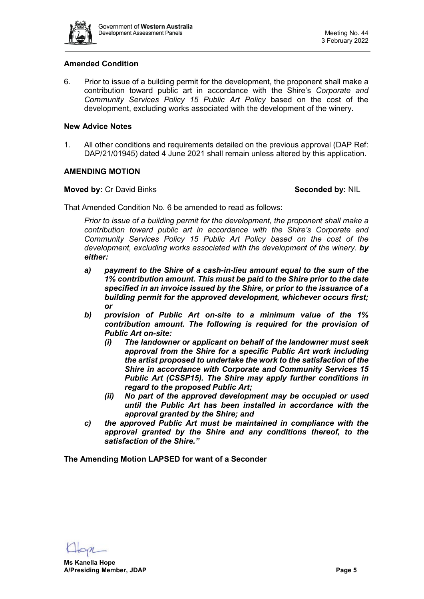

# **Amended Condition**

6. Prior to issue of a building permit for the development, the proponent shall make a contribution toward public art in accordance with the Shire's *Corporate and Community Services Policy 15 Public Art Policy* based on the cost of the development, excluding works associated with the development of the winery.

#### **New Advice Notes**

1. All other conditions and requirements detailed on the previous approval (DAP Ref: DAP/21/01945) dated 4 June 2021 shall remain unless altered by this application.

# **AMENDING MOTION**

### **Moved by:** Cr David Binks **Seconded by:** NIL

That Amended Condition No. 6 be amended to read as follows:

*Prior to issue of a building permit for the development, the proponent shall make a contribution toward public art in accordance with the Shire's Corporate and Community Services Policy 15 Public Art Policy based on the cost of the development, excluding works associated with the development of the winery. by either:* 

- *a) payment to the Shire of a cash-in-lieu amount equal to the sum of the 1% contribution amount. This must be paid to the Shire prior to the date specified in an invoice issued by the Shire, or prior to the issuance of a building permit for the approved development, whichever occurs first; or*
- *b) provision of Public Art on-site to a minimum value of the 1% contribution amount. The following is required for the provision of Public Art on-site:*
	- *(i) The landowner or applicant on behalf of the landowner must seek approval from the Shire for a specific Public Art work including the artist proposed to undertake the work to the satisfaction of the Shire in accordance with Corporate and Community Services 15 Public Art (CSSP15). The Shire may apply further conditions in regard to the proposed Public Art;*
	- *(ii) No part of the approved development may be occupied or used until the Public Art has been installed in accordance with the approval granted by the Shire; and*
- *c) the approved Public Art must be maintained in compliance with the approval granted by the Shire and any conditions thereof, to the satisfaction of the Shire."*

**The Amending Motion LAPSED for want of a Seconder**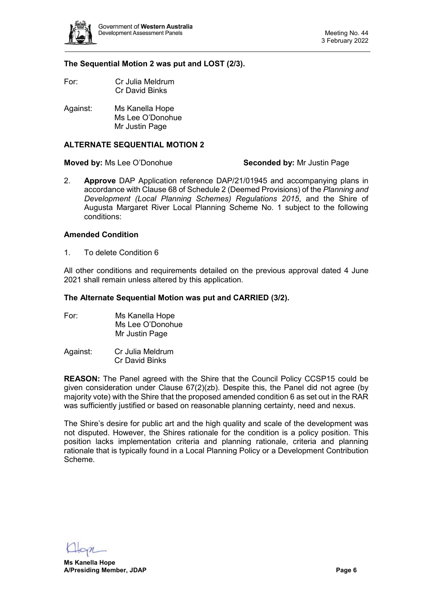

### **The Sequential Motion 2 was put and LOST (2/3).**

- For: Cr Julia Meldrum Cr David Binks
- Against: Ms Kanella Hope Ms Lee O'Donohue Mr Justin Page

## **ALTERNATE SEQUENTIAL MOTION 2**

#### **Moved by:** Ms Lee O'Donohue **Seconded by:** Mr Justin Page

2. **Approve** DAP Application reference DAP/21/01945 and accompanying plans in accordance with Clause 68 of Schedule 2 (Deemed Provisions) of the *Planning and Development (Local Planning Schemes) Regulations 2015*, and the Shire of Augusta Margaret River Local Planning Scheme No. 1 subject to the following conditions:

#### **Amended Condition**

1. To delete Condition 6

All other conditions and requirements detailed on the previous approval dated 4 June 2021 shall remain unless altered by this application.

#### **The Alternate Sequential Motion was put and CARRIED (3/2).**

- For: Ms Kanella Hope Ms Lee O'Donohue Mr Justin Page
- Against: Cr Julia Meldrum Cr David Binks

**REASON:** The Panel agreed with the Shire that the Council Policy CCSP15 could be given consideration under Clause 67(2)(zb). Despite this, the Panel did not agree (by majority vote) with the Shire that the proposed amended condition 6 as set out in the RAR was sufficiently justified or based on reasonable planning certainty, need and nexus.

The Shire's desire for public art and the high quality and scale of the development was not disputed. However, the Shires rationale for the condition is a policy position. This position lacks implementation criteria and planning rationale, criteria and planning rationale that is typically found in a Local Planning Policy or a Development Contribution Scheme.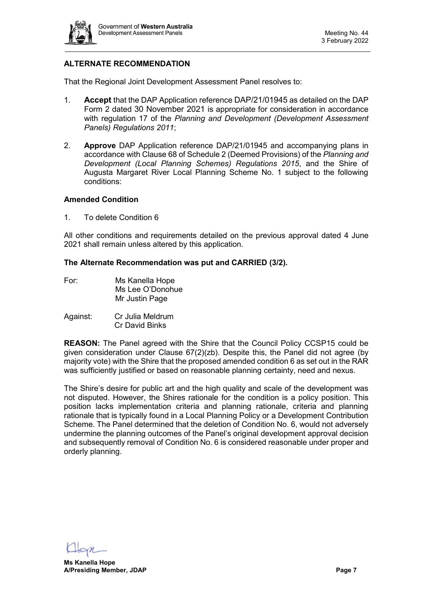

# **ALTERNATE RECOMMENDATION**

That the Regional Joint Development Assessment Panel resolves to:

- 1. **Accept** that the DAP Application reference DAP/21/01945 as detailed on the DAP Form 2 dated 30 November 2021 is appropriate for consideration in accordance with regulation 17 of the *Planning and Development (Development Assessment Panels) Regulations 2011*;
- 2. **Approve** DAP Application reference DAP/21/01945 and accompanying plans in accordance with Clause 68 of Schedule 2 (Deemed Provisions) of the *Planning and Development (Local Planning Schemes) Regulations 2015*, and the Shire of Augusta Margaret River Local Planning Scheme No. 1 subject to the following conditions:

# **Amended Condition**

1. To delete Condition 6

All other conditions and requirements detailed on the previous approval dated 4 June 2021 shall remain unless altered by this application.

### **The Alternate Recommendation was put and CARRIED (3/2).**

- For: Ms Kanella Hope Ms Lee O'Donohue Mr Justin Page
- Against: Cr Julia Meldrum Cr David Binks

**REASON:** The Panel agreed with the Shire that the Council Policy CCSP15 could be given consideration under Clause 67(2)(zb). Despite this, the Panel did not agree (by majority vote) with the Shire that the proposed amended condition 6 as set out in the RAR was sufficiently justified or based on reasonable planning certainty, need and nexus.

The Shire's desire for public art and the high quality and scale of the development was not disputed. However, the Shires rationale for the condition is a policy position. This position lacks implementation criteria and planning rationale, criteria and planning rationale that is typically found in a Local Planning Policy or a Development Contribution Scheme. The Panel determined that the deletion of Condition No. 6, would not adversely undermine the planning outcomes of the Panel's original development approval decision and subsequently removal of Condition No. 6 is considered reasonable under proper and orderly planning.